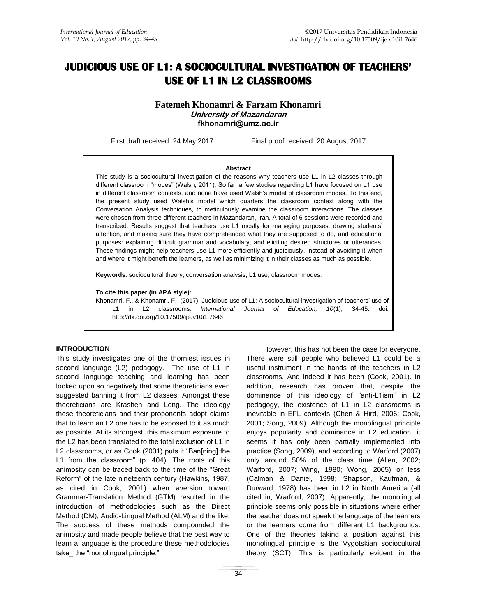# **JUDICIOUS USE OF L1: A SOCIOCULTURAL INVESTIGATION OF TEACHERS' USE OF L1 IN L2 CLASSROOMS**

**Fatemeh Khonamri & Farzam Khonamri University of Mazandaran fkhonamri@umz.ac.ir**

First draft received: 24 May 2017 Final proof received: 20 August 2017

#### **Abstract**

This study is a sociocultural investigation of the reasons why teachers use L1 in L2 classes through different classroom "modes" (Walsh, 2011). So far, a few studies regarding L1 have focused on L1 use in different classroom contexts, and none have used Walsh's model of classroom modes. To this end, the present study used Walsh's model which quarters the classroom context along with the Conversation Analysis techniques, to meticulously examine the classroom interactions. The classes were chosen from three different teachers in Mazandaran, Iran. A total of 6 sessions were recorded and transcribed. Results suggest that teachers use L1 mostly for managing purposes: drawing students' attention, and making sure they have comprehended what they are supposed to do, and educational purposes: explaining difficult grammar and vocabulary, and eliciting desired structures or utterances. These findings might help teachers use L1 more efficiently and judiciously, instead of avoiding it when and where it might benefit the learners, as well as minimizing it in their classes as much as possible.

**Keywords**: sociocultural theory; conversation analysis; L1 use; classroom modes.

#### **To cite this paper (in APA style):**

Khonamri, F., & Khonamri, F. (2017). Judicious use of L1: A sociocultural investigation of teachers' use of L1 in L2 classrooms. *International Journal of Education, 10*(1), 34-45. doi: http://dx.doi.org/10.17509/ije.v10i1.7646

#### **INTRODUCTION**

This study investigates one of the thorniest issues in second language (L2) pedagogy. The use of L1 in second language teaching and learning has been looked upon so negatively that some theoreticians even suggested banning it from L2 classes. Amongst these theoreticians are Krashen and Long. The ideology these theoreticians and their proponents adopt claims that to learn an L2 one has to be exposed to it as much as possible. At its strongest, this maximum exposure to the L2 has been translated to the total exclusion of L1 in L2 classrooms, or as [Cook \(2001\)](#page-10-0) puts it "Ban[ning] the L1 from the classroom" (p. 404). The roots of this animosity can be traced back to the time of the "Great Reform" of the late nineteenth century (Hawkins, 1987, as cited in Cook, 2001) when aversion toward Grammar-Translation Method (GTM) resulted in the introduction of methodologies such as the Direct Method (DM), Audio-Lingual Method (ALM) and the like. The success of these methods compounded the animosity and made people believe that the best way to learn a language is the procedure these methodologies take the "monolingual principle."

There were still people who believed L1 could be a useful instrument in the hands of the teachers in L2 classrooms. And indeed it has been [\(Cook, 2001\)](#page-10-0). In addition, research has proven that, despite the dominance of this ideology of "anti-L1ism" in L2 pedagogy, the existence of L1 in L2 classrooms is inevitable in EFL contexts [\(Chen & Hird, 2006;](#page-10-1) [Cook,](#page-10-0)  [2001;](#page-10-0) [Song, 2009\)](#page-10-2). Although the monolingual principle enjoys popularity and dominance in L2 education, it seems it has only been partially implemented into practice [\(Song,](#page-10-2) 2009), and according to [Warford \(2007\)](#page-10-3) only around 50% of the class time (Allen, 2002; Warford, 2007; Wing, 1980; Wong, 2005) or less (Calman & Daniel, 1998; Shapson, Kaufman, & Durward, 1978) has been in L2 in North America (all cited in, Warford, 2007). Apparently, the monolingual principle seems only possible in situations where either the teacher does not speak the language of the learners or the learners come from different L1 backgrounds. One of the theories taking a position against this monolingual principle is the Vygotskian sociocultural theory (SCT). This is particularly evident in the

However, this has not been the case for everyone.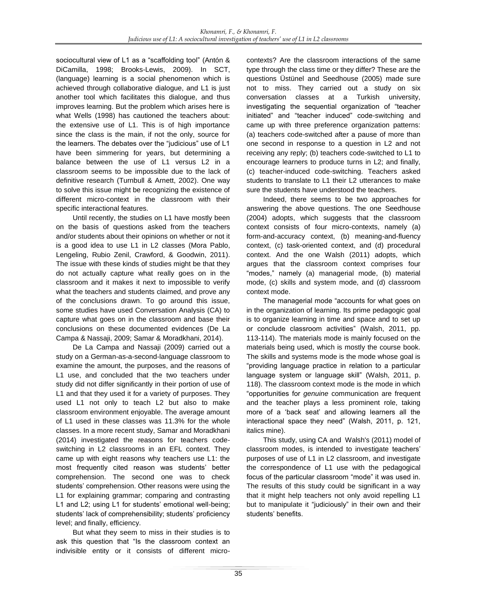sociocultural view of L1 as a "scaffolding tool" [\(Antón &](#page-10-4)  [DiCamilla, 1998;](#page-10-4) [Brooks-Lewis, 2009\)](#page-10-5). In SCT, (language) learning is a social phenomenon which is achieved through collaborative dialogue, and L1 is just another tool which facilitates this dialogue, and thus improves learning. But the problem which arises here is what [Wells \(1998\)](#page-10-6) has cautioned the teachers about: the extensive use of L1. This is of high importance since the class is the main, if not the only, source for the learners. The debates over the "judicious" use of L1 have been simmering for years, but determining a balance between the use of L1 versus L2 in a classroom seems to be impossible due to the lack of definitive research [\(Turnbull & Arnett, 2002\)](#page-10-7). One way to solve this issue might be recognizing the existence of different micro-context in the classroom with their specific interactional features.

Until recently, the studies on L1 have mostly been on the basis of questions asked from the teachers and/or students about their opinions on whether or not it is a good idea to use L1 in L2 classes [\(Mora Pablo,](#page-10-8)  [Lengeling, Rubio Zenil, Crawford, & Goodwin, 2011\)](#page-10-8). The issue with these kinds of studies might be that they do not actually capture what really goes on in the classroom and it makes it next to impossible to verify what the teachers and students claimed, and prove any of the conclusions drawn. To go around this issue, some studies have used Conversation Analysis (CA) to capture what goes on in the classroom and base their conclusions on these documented evidences [\(De La](#page-10-9)  [Campa & Nassaji, 2009;](#page-10-9) [Samar & Moradkhani, 2014\)](#page-10-10).

[De La Campa and Nassaji \(2009\)](#page-10-9) carried out a study on a German-as-a-second-language classroom to examine the amount, the purposes, and the reasons of L1 use, and concluded that the two teachers under study did not differ significantly in their portion of use of L1 and that they used it for a variety of purposes. They used L1 not only to teach L2 but also to make classroom environment enjoyable. The average amount of L1 used in these classes was 11.3% for the whole classes. In a more recent study[, Samar and Moradkhani](#page-10-10)  (2014) investigated the reasons for teachers codeswitching in L2 classrooms in an EFL context. They came up with eight reasons why teachers use L1: the most frequently cited reason was students' better comprehension. The second one was to check students' comprehension. Other reasons were using the L1 for explaining grammar; comparing and contrasting L1 and L2; using L1 for students' emotional well-being; students' lack of comprehensibility; students' proficiency level; and finally, efficiency.

But what they seem to miss in their studies is to ask this question that "Is the classroom context an indivisible entity or it consists of different microcontexts? Are the classroom interactions of the same type through the class time or they differ? These are the questions [Üstünel and Seedhouse \(2005\)](#page-10-11) made sure not to miss. They carried out a study on six conversation classes at a Turkish university, investigating the sequential organization of "teacher initiated" and "teacher induced" code-switching and came up with three preference organization patterns: (a) teachers code-switched after a pause of more than one second in response to a question in L2 and not receiving any reply; (b) teachers code-switched to L1 to encourage learners to produce turns in L2; and finally, (c) teacher-induced code-switching. Teachers asked students to translate to L1 their L2 utterances to make sure the students have understood the teachers.

Indeed, there seems to be two approaches for answering the above questions. The one [Seedhouse](#page-10-12)  (2004) adopts, which suggests that the classroom context consists of four micro-contexts, namely (a) form-and-accuracy context, (b) meaning-and-fluency context, (c) task-oriented context, and (d) procedural context. And the one [Walsh \(2011\)](#page-10-13) adopts, which argues that the classroom context comprises four "modes," namely (a) managerial mode, (b) material mode, (c) skills and system mode, and (d) classroom context mode.

The managerial mode "accounts for what goes on in the organization of learning. Its prime pedagogic goal is to organize learning in time and space and to set up or conclude classroom activities" [\(Walsh, 2011, pp.](#page-10-13)  [113-114\)](#page-10-13). The materials mode is mainly focused on the materials being used, which is mostly the course book. The skills and systems mode is the mode whose goal is "providing language practice in relation to a particular language system or language skill" (Walsh, 2011, p. 118). The classroom context mode is the mode in which "opportunities for *genuine* communication are frequent and the teacher plays a less prominent role, taking more of a 'back seat' and allowing learners all the interactional space they need" (Walsh, 2011, p. 121, italics mine).

This study, using CA and [Walsh's](#page-10-13) (2011) model of classroom modes, is intended to investigate teachers' purposes of use of L1 in L2 classroom, and investigate the correspondence of L1 use with the pedagogical focus of the particular classroom "mode" it was used in. The results of this study could be significant in a way that it might help teachers not only avoid repelling L1 but to manipulate it "judiciously" in their own and their students' benefits.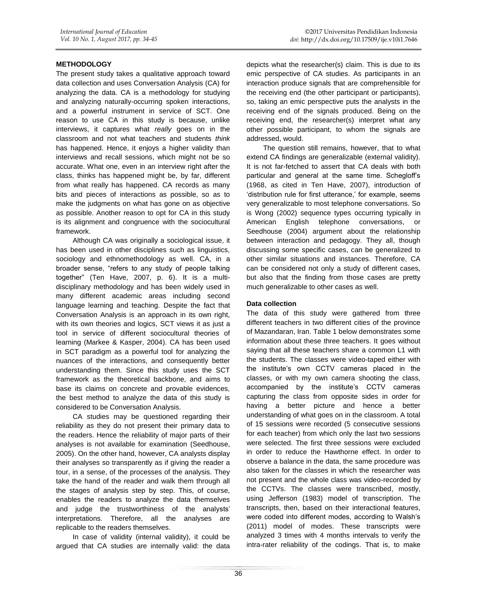#### **METHODOLOGY**

The present study takes a qualitative approach toward data collection and uses Conversation Analysis (CA) for analyzing the data. CA is a methodology for studying and analyzing naturally-occurring spoken interactions, and a powerful instrument in service of SCT. One reason to use CA in this study is because, unlike interviews, it captures what *really* goes on in the classroom and not what teachers and students *think* has happened. Hence, it enjoys a higher validity than interviews and recall sessions, which might not be so accurate. What one, even in an interview right after the class, thinks has happened might be, by far, different from what really has happened. CA records as many bits and pieces of interactions as possible, so as to make the judgments on what has gone on as objective as possible. Another reason to opt for CA in this study is its alignment and congruence with the sociocultural framework.

Although CA was originally a sociological issue, it has been used in other disciplines such as linguistics, sociology and ethnomethodology as well. CA, in a broader sense, "refers to any study of people talking together" [\(Ten Have, 2007, p. 6\)](#page-10-14). It is a multidisciplinary methodology and has been widely used in many different academic areas including second language learning and teaching. Despite the fact that Conversation Analysis is an approach in its own right, with its own theories and logics, SCT views it as just a tool in service of different sociocultural theories of learning [\(Markee & Kasper, 2004\)](#page-10-15). CA has been used in SCT paradigm as a powerful tool for analyzing the nuances of the interactions, and consequently better understanding them. Since this study uses the SCT framework as the theoretical backbone, and aims to base its claims on concrete and provable evidences, the best method to analyze the data of this study is considered to be Conversation Analysis.

CA studies may be questioned regarding their reliability as they do not present their primary data to the readers. Hence the reliability of major parts of their analyses is not available for examination [\(Seedhouse,](#page-10-16)  [2005\)](#page-10-16). On the other hand, however, CA analysts display their analyses so transparently as if giving the reader a tour, in a sense, of the processes of the analysis. They take the hand of the reader and walk them through all the stages of analysis step by step. This, of course, enables the readers to analyze the data themselves and judge the trustworthiness of the analysts' interpretations. Therefore, all the analyses are replicable to the readers themselves.

In case of validity (internal validity), it could be argued that CA studies are internally valid: the data depicts what the researcher(s) claim. This is due to its emic perspective of CA studies. As participants in an interaction produce signals that are comprehensible for the receiving end (the other participant or participants), so, taking an emic perspective puts the analysts in the receiving end of the signals produced. Being on the receiving end, the researcher(s) interpret what any other possible participant, to whom the signals are addressed, would.

The question still remains, however, that to what extend CA findings are generalizable (external validity). It is not far-fetched to assert that CA deals with both particular and general at the same time. Schegloff's (1968, as cited in Ten Have, 2007), introduction of 'distribution rule for first utterance,' for example, seems very generalizable to most telephone conversations. So is [Wong \(2002\)](#page-10-17) sequence types occurring typically in American English telephone conversations, or [Seedhouse \(2004\)](#page-10-12) argument about the relationship between interaction and pedagogy. They all, though discussing some specific cases, can be generalized to other similar situations and instances. Therefore, CA can be considered not only a study of different cases, but also that the finding from those cases are pretty much generalizable to other cases as well.

#### **Data collection**

The data of this study were gathered from three different teachers in two different cities of the province of Mazandaran, Iran. Table 1 below demonstrates some information about these three teachers. It goes without saying that all these teachers share a common L1 with the students. The classes were video-taped either with the institute's own CCTV cameras placed in the classes, or with my own camera shooting the class, accompanied by the institute's CCTV cameras capturing the class from opposite sides in order for having a better picture and hence a better understanding of what goes on in the classroom. A total of 15 sessions were recorded (5 consecutive sessions for each teacher) from which only the last two sessions were selected. The first three sessions were excluded in order to reduce the Hawthorne effect. In order to observe a balance in the data, the same procedure was also taken for the classes in which the researcher was not present and the whole class was video-recorded by the CCTVs. The classes were transcribed, mostly, using Jefferson (1983) model of transcription. The transcripts, then, based on their interactional features, were coded into different modes, according to Walsh's (2011) model of modes. These transcripts were analyzed 3 times with 4 months intervals to verify the intra-rater reliability of the codings. That is, to make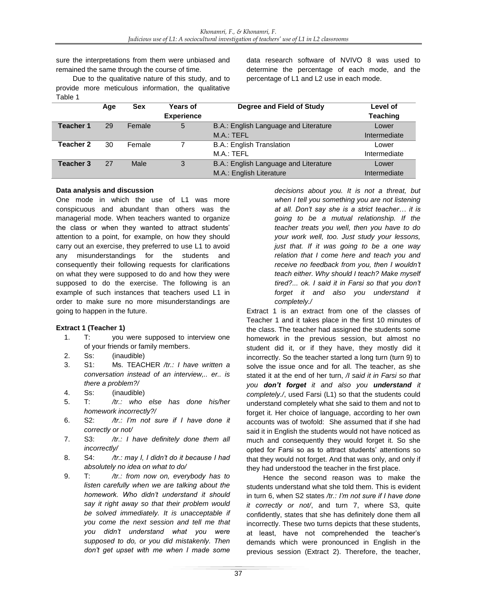sure the interpretations from them were unbiased and remained the same through the course of time.

Due to the qualitative nature of this study, and to provide more meticulous information, the qualitative Table 1

data research software of NVIVO 8 was used to determine the percentage of each mode, and the percentage of L1 and L2 use in each mode.

|                  | Age | <b>Sex</b> | Years of          | Degree and Field of Study             | Level of        |
|------------------|-----|------------|-------------------|---------------------------------------|-----------------|
|                  |     |            | <b>Experience</b> |                                       | <b>Teaching</b> |
| <b>Teacher 1</b> | 29  | Female     | 5                 | B.A.: English Language and Literature | Lower           |
|                  |     |            |                   | M.A.: TEFL                            | Intermediate    |
| Teacher 2        | 30  | Female     |                   | <b>B.A.: English Translation</b>      | Lower           |
|                  |     |            |                   | M.A.: TEFL                            | Intermediate    |
| Teacher 3        | 27  | Male       | 3                 | B.A.: English Language and Literature | Lower           |
|                  |     |            |                   | M.A.: English Literature              | Intermediate    |

#### **Data analysis and discussion**

One mode in which the use of L1 was more conspicuous and abundant than others was the managerial mode. When teachers wanted to organize the class or when they wanted to attract students' attention to a point, for example, on how they should carry out an exercise, they preferred to use L1 to avoid any misunderstandings for the students and consequently their following requests for clarifications on what they were supposed to do and how they were supposed to do the exercise. The following is an example of such instances that teachers used L1 in order to make sure no more misunderstandings are going to happen in the future.

## **Extract 1 (Teacher 1)**

- 1. T: you were supposed to interview one of your friends or family members.
- 2. Ss: (inaudible)
- 3. S1: Ms. TEACHER */tr.: I have written a conversation instead of an interview,.. er.. is there a problem?/*
- 4. Ss: (inaudible)
- 5. T: */tr.: who else has done his/her homework incorrectly?/*
- 6. S2: */tr.: I'm not sure if I have done it correctly or not/*
- 7. S3: */tr.: I have definitely done them all incorrectly/*
- 8. S4: */tr.: may I, I didn't do it because I had absolutely no idea on what to do/*
- 9. T: */tr.: from now on, everybody has to listen carefully when we are talking about the homework. Who didn't understand it should say it right away so that their problem would be solved immediately. It is unacceptable if you come the next session and tell me that you didn't understand what you were supposed to do, or you did mistakenly. Then don't get upset with me when I made some*

*decisions about you. It is not a threat, but when I tell you something you are not listening at all. Don't say she is a strict teacher… it is going to be a mutual relationship. If the teacher treats you well, then you have to do your work well, too. Just study your lessons, just that. If it was going to be a one way relation that I come here and teach you and receive no feedback from you, then I wouldn't teach either. Why should I teach? Make myself tired?... ok. I said it in Farsi so that you don't forget it and also you understand it completely./*

Extract 1 is an extract from one of the classes of Teacher 1 and it takes place in the first 10 minutes of the class. The teacher had assigned the students some homework in the previous session, but almost no student did it, or if they have, they mostly did it incorrectly. So the teacher started a long turn (turn 9) to solve the issue once and for all. The teacher, as she stated it at the end of her turn, */I said it in Farsi so that you don't forget it and also you understand it completely./*, used Farsi (L1) so that the students could understand completely what she said to them and not to forget it. Her choice of language, according to her own accounts was of twofold: She assumed that if she had said it in English the students would not have noticed as much and consequently they would forget it. So she opted for Farsi so as to attract students' attentions so that they would not forget. And that was only, and only if they had understood the teacher in the first place.

Hence the second reason was to make the students understand what she told them. This is evident in turn 6, when S2 states */tr.: I'm not sure if I have done it correctly or not/*, and turn 7, where S3, quite confidently, states that she has definitely done them all incorrectly. These two turns depicts that these students, at least, have not comprehended the teacher's demands which were pronounced in English in the previous session (Extract 2). Therefore, the teacher,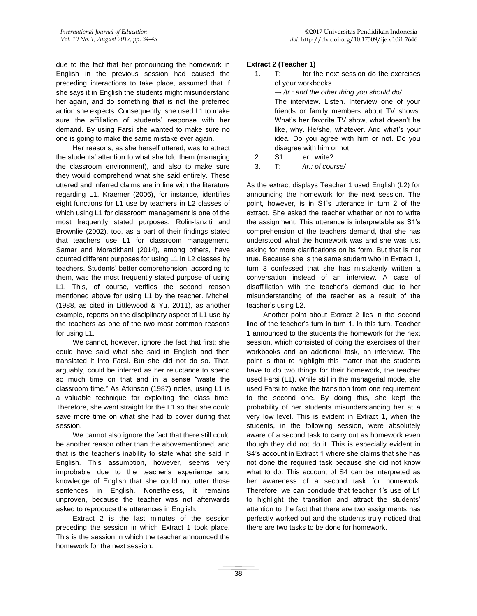due to the fact that her pronouncing the homework in English in the previous session had caused the preceding interactions to take place, assumed that if she says it in English the students might misunderstand her again, and do something that is not the preferred action she expects. Consequently, she used L1 to make sure the affiliation of students' response with her demand. By using Farsi she wanted to make sure no one is going to make the same mistake ever again.

Her reasons, as she herself uttered, was to attract the students' attention to what she told them (managing the classroom environment), and also to make sure they would comprehend what she said entirely. These uttered and inferred claims are in line with the literature regarding L1. [Kraemer \(2006\),](#page-10-18) for instance, identifies eight functions for L1 use by teachers in L2 classes of which using L1 for classroom management is one of the most frequently stated purposes. [Rolin-Ianziti and](#page-10-19)  Brownlie (2002), too, as a part of their findings stated that teachers use L1 for classroom management. [Samar and Moradkhani \(2014\),](#page-10-10) among others, have counted different purposes for using L1 in L2 classes by teachers. Students' better comprehension, according to them, was the most frequently stated purpose of using L1. This, of course, verifies the second reason mentioned above for using L1 by the teacher. Mitchell [\(1988, as cited in Littlewood & Yu, 2011\)](#page-10-20), as another example, reports on the disciplinary aspect of L1 use by the teachers as one of the two most common reasons for using L1.

We cannot, however, ignore the fact that first; she could have said what she said in English and then translated it into Farsi. But she did not do so. That, arguably, could be inferred as her reluctance to spend so much time on that and in a sense "waste the classroom time." As [Atkinson \(1987\)](#page-10-21) notes, using L1 is a valuable technique for exploiting the class time. Therefore, she went straight for the L1 so that she could save more time on what she had to cover during that session.

We cannot also ignore the fact that there still could be another reason other than the abovementioned, and that is the teacher's inability to state what she said in English. This assumption, however, seems very improbable due to the teacher's experience and knowledge of English that she could not utter those sentences in English. Nonetheless, it remains unproven, because the teacher was not afterwards asked to reproduce the utterances in English.

Extract 2 is the last minutes of the session preceding the session in which Extract 1 took place. This is the session in which the teacher announced the homework for the next session.

## **Extract 2 (Teacher 1)**

| 1. | for the next session do the exercises<br>T:            |  |  |  |  |
|----|--------------------------------------------------------|--|--|--|--|
|    | of your workbooks                                      |  |  |  |  |
|    | $\rightarrow$ /tr.: and the other thing you should do/ |  |  |  |  |
|    | The interview. Listen. Interview one of your           |  |  |  |  |
|    | friends or family members about TV shows.              |  |  |  |  |
|    | What's her favorite TV show, what doesn't he           |  |  |  |  |
|    | like, why. He/she, whatever. And what's your           |  |  |  |  |
|    | idea. Do you agree with him or not. Do you             |  |  |  |  |
|    | disagree with him or not.                              |  |  |  |  |
| 2  | S1: er., write?                                        |  |  |  |  |

3. T: */tr.: of course/* 

As the extract displays Teacher 1 used English (L2) for announcing the homework for the next session. The point, however, is in S1's utterance in turn 2 of the extract. She asked the teacher whether or not to write the assignment. This utterance is interpretable as S1's comprehension of the teachers demand, that she has understood what the homework was and she was just asking for more clarifications on its form. But that is not true. Because she is the same student who in Extract 1, turn 3 confessed that she has mistakenly written a conversation instead of an interview. A case of disaffiliation with the teacher's demand due to her misunderstanding of the teacher as a result of the teacher's using L2.

Another point about Extract 2 lies in the second line of the teacher's turn in turn 1. In this turn, Teacher 1 announced to the students the homework for the next session, which consisted of doing the exercises of their workbooks and an additional task, an interview. The point is that to highlight this matter that the students have to do two things for their homework, the teacher used Farsi (L1). While still in the managerial mode, she used Farsi to make the transition from one requirement to the second one. By doing this, she kept the probability of her students misunderstanding her at a very low level. This is evident in Extract 1, when the students, in the following session, were absolutely aware of a second task to carry out as homework even though they did not do it. This is especially evident in S4's account in Extract 1 where she claims that she has not done the required task because she did not know what to do. This account of S4 can be interpreted as her awareness of a second task for homework. Therefore, we can conclude that teacher 1's use of L1 to highlight the transition and attract the students' attention to the fact that there are two assignments has perfectly worked out and the students truly noticed that there are two tasks to be done for homework.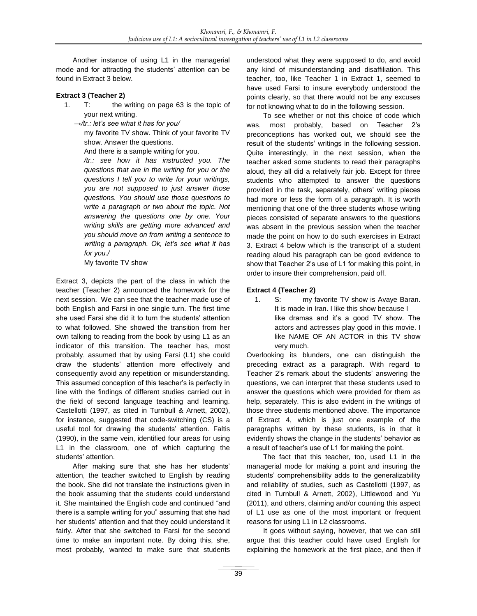Another instance of using L1 in the managerial mode and for attracting the students' attention can be found in Extract 3 below.

#### **Extract 3 (Teacher 2)**

- 1. T: the writing on page 63 is the topic of your next writing.
	- →*/tr.: let's see what it has for you/*

my favorite TV show. Think of your favorite TV show. Answer the questions.

And there is a sample writing for you.

*/tr.: see how it has instructed you. The questions that are in the writing for you or the questions I tell you to write for your writings, you are not supposed to just answer those questions. You should use those questions to write a paragraph or two about the topic. Not answering the questions one by one. Your writing skills are getting more advanced and you should move on from writing a sentence to writing a paragraph. Ok, let's see what it has for you./*

My favorite TV show

Extract 3, depicts the part of the class in which the teacher (Teacher 2) announced the homework for the next session. We can see that the teacher made use of both English and Farsi in one single turn. The first time she used Farsi she did it to turn the students' attention to what followed. She showed the transition from her own talking to reading from the book by using L1 as an indicator of this transition. The teacher has, most probably, assumed that by using Farsi (L1) she could draw the students' attention more effectively and consequently avoid any repetition or misunderstanding. This assumed conception of this teacher's is perfectly in line with the findings of different studies carried out in the field of second language teaching and learning. Castellotti [\(1997, as cited in Turnbull & Arnett, 2002\)](#page-10-7), for instance, suggested that code-switching (CS) is a useful tool for drawing the students' attention. [Faltis](#page-10-22)  (1990), in the same vein, identified four areas for using L1 in the classroom, one of which capturing the students' attention.

After making sure that she has her students' attention, the teacher switched to English by reading the book. She did not translate the instructions given in the book assuming that the students could understand it. She maintained the English code and continued "and there is a sample writing for you" assuming that she had her students' attention and that they could understand it fairly. After that she switched to Farsi for the second time to make an important note. By doing this, she, most probably, wanted to make sure that students understood what they were supposed to do, and avoid any kind of misunderstanding and disaffiliation. This teacher, too, like Teacher 1 in Extract 1, seemed to have used Farsi to insure everybody understood the points clearly, so that there would not be any excuses for not knowing what to do in the following session.

To see whether or not this choice of code which was, most probably, based on Teacher 2's preconceptions has worked out, we should see the result of the students' writings in the following session. Quite interestingly, in the next session, when the teacher asked some students to read their paragraphs aloud, they all did a relatively fair job. Except for three students who attempted to answer the questions provided in the task, separately, others' writing pieces had more or less the form of a paragraph. It is worth mentioning that one of the three students whose writing pieces consisted of separate answers to the questions was absent in the previous session when the teacher made the point on how to do such exercises in Extract 3. Extract 4 below which is the transcript of a student reading aloud his paragraph can be good evidence to show that Teacher 2's use of L1 for making this point, in order to insure their comprehension, paid off.

#### **Extract 4 (Teacher 2)**

1. S: my favorite TV show is Avaye Baran. It is made in Iran. I like this show because I like dramas and it's a good TV show. The actors and actresses play good in this movie. I like NAME OF AN ACTOR in this TV show very much.

Overlooking its blunders, one can distinguish the preceding extract as a paragraph. With regard to Teacher 2's remark about the students' answering the questions, we can interpret that these students used to answer the questions which were provided for them as help, separately. This is also evident in the writings of those three students mentioned above. The importance of Extract 4, which is just one example of the paragraphs written by these students, is in that it evidently shows the change in the students' behavior as a result of teacher's use of L1 for making the point.

The fact that this teacher, too, used L1 in the managerial mode for making a point and insuring the students' comprehensibility adds to the generalizability and reliability of studies, such as Castellotti [\(1997, as](#page-10-7)  [cited in Turnbull & Arnett, 2002\)](#page-10-7), [Littlewood and Yu](#page-10-20)  (2011), and others, claiming and/or counting this aspect of L1 use as one of the most important or frequent reasons for using L1 in L2 classrooms.

It goes without saying, however, that we can still argue that this teacher could have used English for explaining the homework at the first place, and then if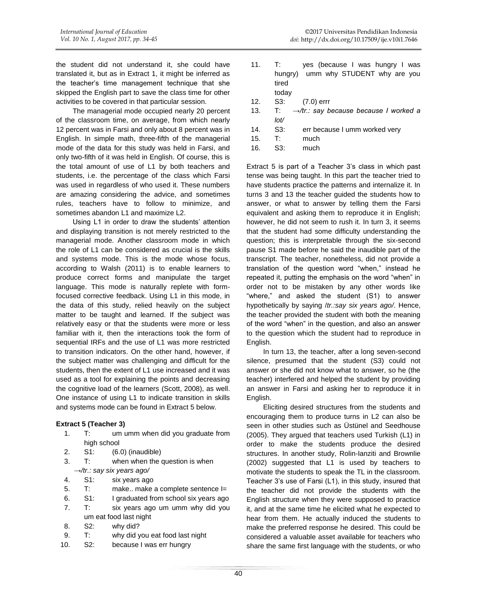the student did not understand it, she could have translated it, but as in Extract 1, it might be inferred as the teacher's time management technique that she skipped the English part to save the class time for other activities to be covered in that particular session.

The managerial mode occupied nearly 20 percent of the classroom time, on average, from which nearly 12 percent was in Farsi and only about 8 percent was in English. In simple math, three-fifth of the managerial mode of the data for this study was held in Farsi, and only two-fifth of it was held in English. Of course, this is the total amount of use of L1 by both teachers and students, i.e. the percentage of the class which Farsi was used in regardless of who used it. These numbers are amazing considering the advice, and sometimes rules, teachers have to follow to minimize, and sometimes abandon L1 and maximize L2.

Using L1 in order to draw the students' attention and displaying transition is not merely restricted to the managerial mode. Another classroom mode in which the role of L1 can be considered as crucial is the skills and systems mode. This is the mode whose focus, according to [Walsh \(2011\)](#page-10-13) is to enable learners to produce correct forms and manipulate the target language. This mode is naturally replete with formfocused corrective feedback. Using L1 in this mode, in the data of this study, relied heavily on the subject matter to be taught and learned. If the subject was relatively easy or that the students were more or less familiar with it, then the interactions took the form of sequential IRFs and the use of L1 was more restricted to transition indicators. On the other hand, however, if the subject matter was challenging and difficult for the students, then the extent of L1 use increased and it was used as a tool for explaining the points and decreasing the cognitive load of the learners [\(Scott, 2008\)](#page-10-23), as well. One instance of using L1 to indicate transition in skills and systems mode can be found in Extract 5 below.

#### **Extract 5 (Teacher 3)**

- 1. T: um umm when did you graduate from high school
- 2. S1: (6.0) (inaudible)
- 3. T: when when the question is when
- *→/tr.: say six years ago/*
- 4. S1: six years ago
- 5. T: make.. make a complete sentence I=
- 6. S1: I graduated from school six years ago
- 7. T: six years ago um umm why did you um eat food last night
- 8. S2: why did?
- 9. T: why did you eat food last night
- 10. S2: because I was err hungry
- 11. T: yes (because I was hungry I was hungry) umm why STUDENT why are you tired today
- 12. S3: (7.0) errr
- 13. T: *→/tr.: say because because I worked a lot/* 14. S3: err because I umm worked very
- 15. T: much
- 16. S3: much

Extract 5 is part of a Teacher 3's class in which past tense was being taught. In this part the teacher tried to have students practice the patterns and internalize it. In turns 3 and 13 the teacher guided the students how to answer, or what to answer by telling them the Farsi equivalent and asking them to reproduce it in English; however, he did not seem to rush it. In turn 3, it seems that the student had some difficulty understanding the question; this is interpretable through the six-second pause S1 made before he said the inaudible part of the transcript. The teacher, nonetheless, did not provide a translation of the question word "when," instead he repeated it, putting the emphasis on the word "when" in order not to be mistaken by any other words like "where," and asked the student (S1) to answer hypothetically by saying /*tr.:say six years ago/*. Hence, the teacher provided the student with both the meaning of the word "when" in the question, and also an answer to the question which the student had to reproduce in English.

In turn 13, the teacher, after a long seven-second silence, presumed that the student (S3) could not answer or she did not know what to answer, so he (the teacher) interfered and helped the student by providing an answer in Farsi and asking her to reproduce it in English.

Eliciting desired structures from the students and encouraging them to produce turns in L2 can also be seen in other studies such as [Üstünel and Seedhouse](#page-10-11)  (2005). They argued that teachers used Turkish (L1) in order to make the students produce the desired structures. In another study, [Rolin-Ianziti and Brownlie](#page-10-19)  (2002) suggested that L1 is used by teachers to motivate the students to speak the TL in the classroom. Teacher 3's use of Farsi (L1), in this study, insured that the teacher did not provide the students with the English structure when they were supposed to practice it, and at the same time he elicited what he expected to hear from them. He actually induced the students to make the preferred response he desired. This could be considered a valuable asset available for teachers who share the same first language with the students, or who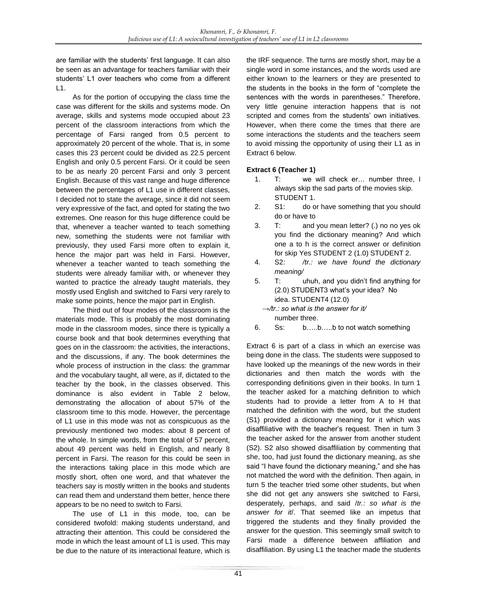are familiar with the students' first language. It can also be seen as an advantage for teachers familiar with their students' L1 over teachers who come from a different  $L1.$ 

As for the portion of occupying the class time the case was different for the skills and systems mode. On average, skills and systems mode occupied about 23 percent of the classroom interactions from which the percentage of Farsi ranged from 0.5 percent to approximately 20 percent of the whole. That is, in some cases this 23 percent could be divided as 22.5 percent English and only 0.5 percent Farsi. Or it could be seen to be as nearly 20 percent Farsi and only 3 percent English. Because of this vast range and huge difference between the percentages of L1 use in different classes, I decided not to state the average, since it did not seem very expressive of the fact, and opted for stating the two extremes. One reason for this huge difference could be that, whenever a teacher wanted to teach something new, something the students were not familiar with previously, they used Farsi more often to explain it, hence the major part was held in Farsi. However, whenever a teacher wanted to teach something the students were already familiar with, or whenever they wanted to practice the already taught materials, they mostly used English and switched to Farsi very rarely to make some points, hence the major part in English.

The third out of four modes of the classroom is the materials mode. This is probably the most dominating mode in the classroom modes, since there is typically a course book and that book determines everything that goes on in the classroom: the activities, the interactions, and the discussions, if any. The book determines the whole process of instruction in the class: the grammar and the vocabulary taught, all were, as if, dictated to the teacher by the book, in the classes observed. This dominance is also evident in Table 2 below, demonstrating the allocation of about 57% of the classroom time to this mode. However, the percentage of L1 use in this mode was not as conspicuous as the previously mentioned two modes: about 8 percent of the whole. In simple words, from the total of 57 percent, about 49 percent was held in English, and nearly 8 percent in Farsi. The reason for this could be seen in the interactions taking place in this mode which are mostly short, often one word, and that whatever the teachers say is mostly written in the books and students can read them and understand them better, hence there appears to be no need to switch to Farsi.

The use of L1 in this mode, too, can be considered twofold: making students understand, and attracting their attention. This could be considered the mode in which the least amount of L1 is used. This may be due to the nature of its interactional feature, which is the IRF sequence. The turns are mostly short, may be a single word in some instances, and the words used are either known to the learners or they are presented to the students in the books in the form of "complete the sentences with the words in parentheses." Therefore, very little genuine interaction happens that is not scripted and comes from the students' own initiatives. However, when there come the times that there are some interactions the students and the teachers seem to avoid missing the opportunity of using their L1 as in Extract 6 below.

# **Extract 6 (Teacher 1)**

- 1. T: we will check er… number three, I always skip the sad parts of the movies skip. STUDENT 1.
- 2. S1: do or have something that you should do or have to
- 3. T: and you mean letter? (.) no no yes ok you find the dictionary meaning? And which one a to h is the correct answer or definition for skip Yes STUDENT 2 (1.0) STUDENT 2.
- 4. S2: */tr.: we have found the dictionary meaning/*
- 5. T: uhuh, and you didn't find anything for (2.0) STUDENT3 what's your idea? No idea. STUDENT4 (12.0) *→/tr.: so what is the answer for it/*

number three.

6. Ss: b…..b…..b to not watch something

Extract 6 is part of a class in which an exercise was being done in the class. The students were supposed to have looked up the meanings of the new words in their dictionaries and then match the words with the corresponding definitions given in their books. In turn 1 the teacher asked for a matching definition to which students had to provide a letter from A to H that matched the definition with the word, but the student (S1) provided a dictionary meaning for it which was disaffiliative with the teacher's request. Then in turn 3 the teacher asked for the answer from another student (S2). S2 also showed disaffiliation by commenting that she, too, had just found the dictionary meaning, as she said "I have found the dictionary meaning," and she has not matched the word with the definition. Then again, in turn 5 the teacher tried some other students, but when she did not get any answers she switched to Farsi, desperately, perhaps, and said /*tr.: so what is the answer for it*/. That seemed like an impetus that triggered the students and they finally provided the answer for the question. This seemingly small switch to Farsi made a difference between affiliation and disaffiliation. By using L1 the teacher made the students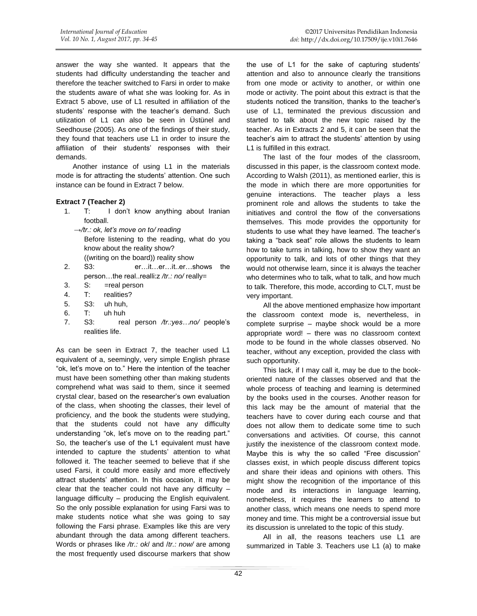answer the way she wanted. It appears that the students had difficulty understanding the teacher and therefore the teacher switched to Farsi in order to make the students aware of what she was looking for. As in Extract 5 above, use of L1 resulted in affiliation of the students' response with the teacher's demand. Such utilization of L1 can also be seen in [Üstünel and](#page-10-11)  Seedhouse (2005). As one of the findings of their study, they found that teachers use L1 in order to insure the affiliation of their students' responses with their demands.

Another instance of using L1 in the materials mode is for attracting the students' attention. One such instance can be found in Extract 7 below.

#### **Extract 7 (Teacher 2)**

- 1. T: I don't know anything about Iranian football.
	- *→/tr.: ok, let's move on to/ reading* Before listening to the reading, what do you know about the reality show? ((writing on the board)) reality show
- 2. S3: er…it…er…it..er…shows the person…the real..realli:z */tr.: no/* really=
- 3. S: =real person
- 4. T: realities?
- 5. S3: uh huh,
- 6. T: uh huh
- 7. S3: real person */tr.:yes…no/* people's realities life.

As can be seen in Extract 7, the teacher used L1 equivalent of a, seemingly, very simple English phrase "ok, let's move on to." Here the intention of the teacher must have been something other than making students comprehend what was said to them, since it seemed crystal clear, based on the researcher's own evaluation of the class, when shooting the classes, their level of proficiency, and the book the students were studying, that the students could not have any difficulty understanding "ok, let's move on to the reading part." So, the teacher's use of the L1 equivalent must have intended to capture the students' attention to what followed it. The teacher seemed to believe that if she used Farsi, it could more easily and more effectively attract students' attention. In this occasion, it may be clear that the teacher could not have any difficulty  $$ language difficulty – producing the English equivalent. So the only possible explanation for using Farsi was to make students notice what she was going to say following the Farsi phrase. Examples like this are very abundant through the data among different teachers. Words or phrases like */tr.: ok*/ and /*tr.: now/* are among the most frequently used discourse markers that show

the use of L1 for the sake of capturing students' attention and also to announce clearly the transitions from one mode or activity to another, or within one mode or activity. The point about this extract is that the students noticed the transition, thanks to the teacher's use of L1, terminated the previous discussion and started to talk about the new topic raised by the teacher. As in Extracts 2 and 5, it can be seen that the teacher's aim to attract the students' attention by using L1 is fulfilled in this extract.

The last of the four modes of the classroom, discussed in this paper, is the classroom context mode. According to [Walsh \(2011\),](#page-10-13) as mentioned earlier, this is the mode in which there are more opportunities for genuine interactions. The teacher plays a less prominent role and allows the students to take the initiatives and control the flow of the conversations themselves. This mode provides the opportunity for students to use what they have learned. The teacher's taking a "back seat" role allows the students to learn how to take turns in talking, how to show they want an opportunity to talk, and lots of other things that they would not otherwise learn, since it is always the teacher who determines who to talk, what to talk, and how much to talk. Therefore, this mode, according to CLT, must be very important.

All the above mentioned emphasize how important the classroom context mode is, nevertheless, in complete surprise – maybe shock would be a more appropriate word! – there was no classroom context mode to be found in the whole classes observed. No teacher, without any exception, provided the class with such opportunity.

This lack, if I may call it, may be due to the bookoriented nature of the classes observed and that the whole process of teaching and learning is determined by the books used in the courses. Another reason for this lack may be the amount of material that the teachers have to cover during each course and that does not allow them to dedicate some time to such conversations and activities. Of course, this cannot justify the inexistence of the classroom context mode. Maybe this is why the so called "Free discussion" classes exist, in which people discuss different topics and share their ideas and opinions with others. This might show the recognition of the importance of this mode and its interactions in language learning, nonetheless, it requires the learners to attend to another class, which means one needs to spend more money and time. This might be a controversial issue but its discussion is unrelated to the topic of this study.

All in all, the reasons teachers use L1 are summarized in Table 3. Teachers use L1 (a) to make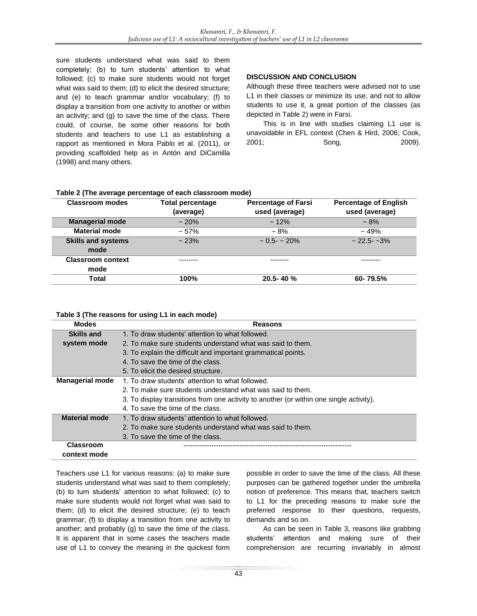sure students understand what was said to them completely; (b) to turn students' attention to what followed; (c) to make sure students would not forget what was said to them; (d) to elicit the desired structure; and (e) to teach grammar and/or vocabulary; (f) to display a transition from one activity to another or within an activity; and (g) to save the time of the class. There could, of course, be some other reasons for both students and teachers to use L1 as establishing a rapport as mentioned in [Mora Pablo et al. \(2011\),](#page-10-8) or providing scaffolded help as in [Antón and DiCamilla](#page-10-4)  (1998) and many others.

## **DISCUSSION AND CONCLUSION**

Although these three teachers were advised not to use L1 in their classes or minimize its use, and not to allow students to use it, a great portion of the classes (as depicted in Table 2) were in Farsi.

This is in line with studies claiming L1 use is unavoidable in EFL context [\(Chen & Hird, 2006;](#page-10-1) [Cook,](#page-10-0)  [2001;](#page-10-0) [Song, 2009\)](#page-10-2).

| <b>Classroom modes</b>    | <b>Total percentage</b> | <b>Percentage of Farsi</b> | <b>Percentage of English</b> |
|---------------------------|-------------------------|----------------------------|------------------------------|
|                           | (average)               | used (average)             | used (average)               |
| <b>Managerial mode</b>    | $~120\%$                | $~12\%$                    | $~1.8\%$                     |
| <b>Material mode</b>      | $~1.57\%$               | $~1.8\%$                   | $~19\%$                      |
| <b>Skills and systems</b> | ~23%                    | $\sim 0.5 - \sim 20\%$     | $\sim$ 22.5 - $\sim$ 3%      |
| mode                      |                         |                            |                              |
| <b>Classroom context</b>  |                         |                            |                              |
| mode                      |                         |                            |                              |
| Total                     | 100%                    | 20.5-40 %                  | 60-79.5%                     |

## **Table 2 (The average percentage of each classroom mode)**

#### **Table 3 (The reasons for using L1 in each mode)**

| <b>Modes</b>           | <b>Reasons</b>                                                                          |
|------------------------|-----------------------------------------------------------------------------------------|
| Skills and             | 1. To draw students' attention to what followed.                                        |
| system mode            | 2. To make sure students understand what was said to them.                              |
|                        | 3. To explain the difficult and important grammatical points.                           |
|                        | 4. To save the time of the class.                                                       |
|                        | 5. To elicit the desired structure.                                                     |
| <b>Managerial mode</b> | 1. To draw students' attention to what followed.                                        |
|                        | 2. To make sure students understand what was said to them.                              |
|                        | 3. To display transitions from one activity to another (or within one single activity). |
|                        | 4. To save the time of the class.                                                       |
| <b>Material mode</b>   | 1. To draw students' attention to what followed.                                        |
|                        | 2. To make sure students understand what was said to them.                              |
|                        | 3. To save the time of the class.                                                       |
| <b>Classroom</b>       |                                                                                         |
| context mode           |                                                                                         |

Teachers use L1 for various reasons: (a) to make sure students understand what was said to them completely; (b) to turn students' attention to what followed; (c) to make sure students would not forget what was said to them; (d) to elicit the desired structure; (e) to teach grammar; (f) to display a transition from one activity to another; and probably (g) to save the time of the class. It is apparent that in some cases the teachers made use of L1 to convey the meaning in the quickest form possible in order to save the time of the class. All these purposes can be gathered together under the umbrella notion of preference. This means that, teachers switch to L1 for the preceding reasons to make sure the preferred response to their questions, requests, demands and so on.

As can be seen in Table 3, reasons like grabbing students' attention and making sure of their comprehension are recurring invariably in almost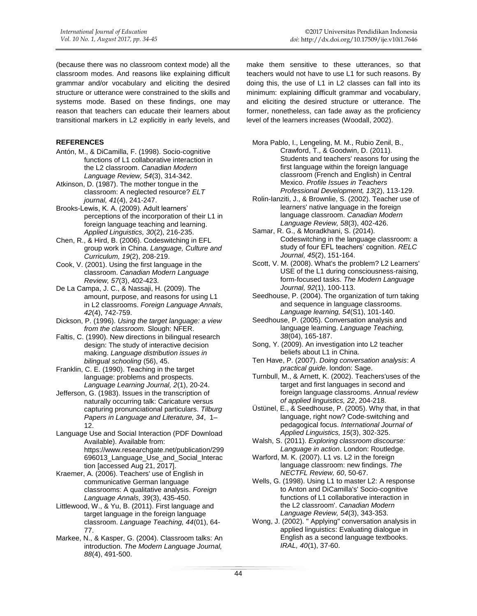(because there was no classroom context mode) all the classroom modes. And reasons like explaining difficult grammar and/or vocabulary and eliciting the desired structure or utterance were constrained to the skills and systems mode. Based on these findings, one may reason that teachers can educate their learners about transitional markers in L2 explicitly in early levels, and

#### **REFERENCES**

- <span id="page-10-4"></span>Antón, M., & DiCamilla, F. (1998). Socio-cognitive functions of L1 collaborative interaction in the L2 classroom. *Canadian Modern Language Review, 54*(3), 314-342.
- <span id="page-10-21"></span>Atkinson, D. (1987). The mother tongue in the classroom: A neglected resource? *ELT journal, 41*(4), 241-247.
- <span id="page-10-5"></span>Brooks-Lewis, K. A. (2009). Adult learners' perceptions of the incorporation of their L1 in foreign language teaching and learning. *Applied Linguistics, 30*(2), 216-235.
- <span id="page-10-1"></span>Chen, R., & Hird, B. (2006). Codeswitching in EFL group work in China. *Language, Culture and Curriculum, 19*(2), 208-219.
- <span id="page-10-0"></span>Cook, V. (2001). Using the first language in the classroom. *Canadian Modern Language Review, 57*(3), 402-423.
- <span id="page-10-9"></span>De La Campa, J. C., & Nassaji, H. (2009). The amount, purpose, and reasons for using L1 in L2 classrooms. *Foreign Language Annals, 42*(4), 742-759.
- Dickson, P. (1996). *Using the target language: a view from the classroom.* Slough: NFER.
- <span id="page-10-22"></span>Faltis, C. (1990). New directions in bilingual research design: The study of interactive decision making. *Language distribution issues in bilingual schooling* (56), 45.
- Franklin, C. E. (1990). Teaching in the target language: problems and prospects. *Language Learning Journal, 2*(1), 20-24.
- Jefferson, G. (1983). Issues in the transcription of naturally occurring talk: Caricature versus capturing pronunciational particulars. *Tilburg Papers in Language and Literature, 34*, 1– 12.
- Language Use and Social Interaction (PDF Download Available). Available from: https://www.researchgate.net/publication/299 696013\_Language\_Use\_and\_Social\_Interac tion [accessed Aug 21, 2017].
- <span id="page-10-18"></span>Kraemer, A. (2006). Teachers' use of English in communicative German language classrooms: A qualitative analysis. *Foreign Language Annals, 39*(3), 435-450.
- <span id="page-10-20"></span>Littlewood, W., & Yu, B. (2011). First language and target language in the foreign language classroom. *Language Teaching, 44*(01), 64- 77.
- <span id="page-10-15"></span>Markee, N., & Kasper, G. (2004). Classroom talks: An introduction. *The Modern Language Journal, 88*(4), 491-500.

make them sensitive to these utterances, so that teachers would not have to use L1 for such reasons. By doing this, the use of L1 in L2 classes can fall into its minimum: explaining difficult grammar and vocabulary, and eliciting the desired structure or utterance. The former, nonetheless, can fade away as the proficiency level of the learners increases [\(Woodall, 2002\)](#page-11-0).

<span id="page-10-8"></span>Mora Pablo, I., Lengeling, M. M., Rubio Zenil, B., Crawford, T., & Goodwin, D. (2011). Students and teachers' reasons for using the first language within the foreign language classroom (French and English) in Central Mexico. *Profile Issues in Teachers Professional Development, 13*(2), 113-129.

- <span id="page-10-19"></span>Rolin-Ianziti, J., & Brownlie, S. (2002). Teacher use of learners' native language in the foreign language classroom. *Canadian Modern Language Review, 58*(3), 402-426.
- <span id="page-10-10"></span>Samar, R. G., & Moradkhani, S. (2014). Codeswitching in the language classroom: a study of four EFL teachers' cognition. *RELC Journal, 45*(2), 151-164.
- <span id="page-10-23"></span>Scott, V. M. (2008). What's the problem? L2 Learners' USE of the L1 during consciousness‐raising, form‐focused tasks. *The Modern Language Journal, 92*(1), 100-113.
- <span id="page-10-12"></span>Seedhouse, P. (2004). The organization of turn taking and sequence in language classrooms. *Language learning, 54*(S1), 101-140.
- <span id="page-10-16"></span>Seedhouse, P. (2005). Conversation analysis and language learning. *Language Teaching, 38*(04), 165-187.
- <span id="page-10-2"></span>Song, Y. (2009). An investigation into L2 teacher beliefs about L1 in China.
- <span id="page-10-14"></span>Ten Have, P. (2007). *Doing conversation analysis*: *A practical guide*. london: Sage.
- <span id="page-10-7"></span>Turnbull, M., & Arnett, K. (2002). Teachers'uses of the target and first languages in second and foreign language classrooms. *Annual review of applied linguistics, 22*, 204-218.
- <span id="page-10-11"></span>Üstünel, E., & Seedhouse, P. (2005). Why that, in that language, right now? Code‐switching and pedagogical focus. *International Journal of Applied Linguistics, 15*(3), 302-325.
- <span id="page-10-13"></span>Walsh, S. (2011). *Exploring classroom discourse: Language in action*. London: Routledge.
- <span id="page-10-3"></span>Warford, M. K. (2007). L1 vs. L2 in the foreign language classroom: new findings. *The NECTFL Review, 60*, 50-67.
- <span id="page-10-6"></span>Wells, G. (1998). Using L1 to master L2: A response to Anton and DiCamilla's' Socio-cognitive functions of L1 collaborative interaction in the L2 classroom'. *Canadian Modern Language Review, 54*(3), 343-353.
- <span id="page-10-17"></span>Wong, J. (2002). " Applying" conversation analysis in applied linguistics: Evaluating dialogue in English as a second language textbooks. *IRAL, 40*(1), 37-60.